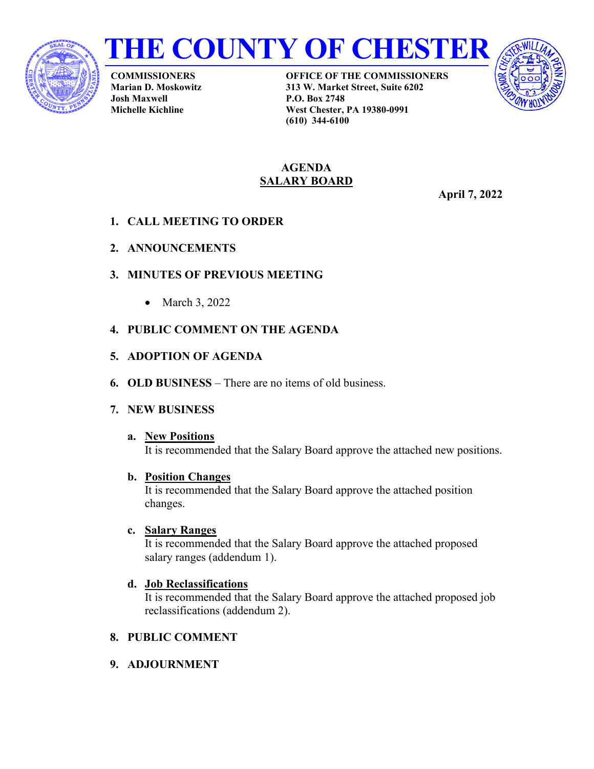



**COMMISSIONERS Marian D. Moskowitz Josh Maxwell Michelle Kichline**

**OFFICE OF THE COMMISSIONERS 313 W. Market Street, Suite 6202 P.O. Box 2748 West Chester, PA 19380-0991 (610) 344-6100**



#### **AGENDA SALARY BOARD**

**April 7, 2022**

- **1. CALL MEETING TO ORDER**
- **2. ANNOUNCEMENTS**
- **3. MINUTES OF PREVIOUS MEETING**
	- March 3, 2022

## **4. PUBLIC COMMENT ON THE AGENDA**

- **5. ADOPTION OF AGENDA**
- **6. OLD BUSINESS** There are no items of old business.
- **7. NEW BUSINESS**

#### **a. New Positions** It is recommended that the Salary Board approve the attached new positions.

**b. Position Changes**

It is recommended that the Salary Board approve the attached position changes.

## **c. Salary Ranges**

It is recommended that the Salary Board approve the attached proposed salary ranges (addendum 1).

**d. Job Reclassifications**

It is recommended that the Salary Board approve the attached proposed job reclassifications (addendum 2).

- **8. PUBLIC COMMENT**
- **9. ADJOURNMENT**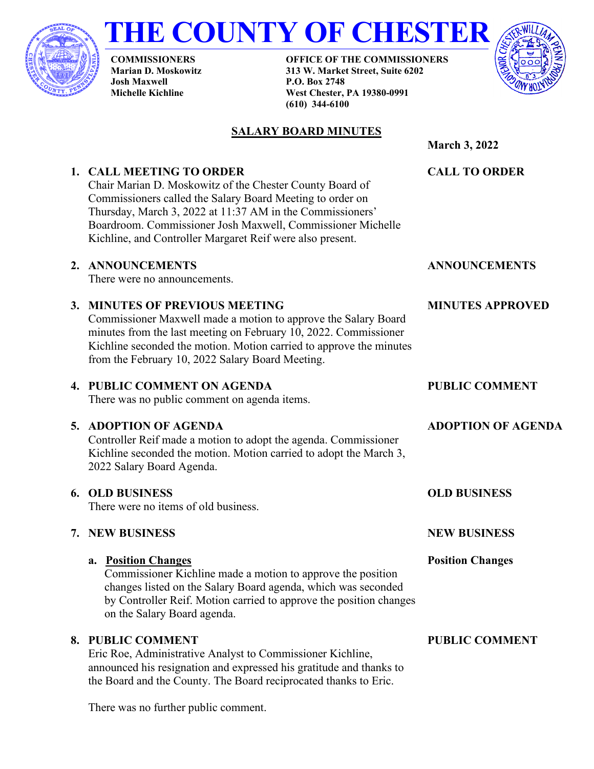

# **THE COUNTY OF CHESTER**

**COMMISSIONERS Marian D. Moskowitz Josh Maxwell Michelle Kichline**

**OFFICE OF THE COMMISSIONERS 313 W. Market Street, Suite 6202 P.O. Box 2748 West Chester, PA 19380-0991 (610) 344-6100**



## **SALARY BOARD MINUTES**

**March 3, 2022 1. CALL MEETING TO ORDER** Chair Marian D. Moskowitz of the Chester County Board of Commissioners called the Salary Board Meeting to order on Thursday, March 3, 2022 at 11:37 AM in the Commissioners' Boardroom. Commissioner Josh Maxwell, Commissioner Michelle Kichline, and Controller Margaret Reif were also present. **CALL TO ORDER 2. ANNOUNCEMENTS** There were no announcements. **ANNOUNCEMENTS 3. MINUTES OF PREVIOUS MEETING** Commissioner Maxwell made a motion to approve the Salary Board minutes from the last meeting on February 10, 2022. Commissioner Kichline seconded the motion. Motion carried to approve the minutes from the February 10, 2022 Salary Board Meeting. **MINUTES APPROVED 4. PUBLIC COMMENT ON AGENDA** There was no public comment on agenda items. **PUBLIC COMMENT 5. ADOPTION OF AGENDA** Controller Reif made a motion to adopt the agenda. Commissioner Kichline seconded the motion. Motion carried to adopt the March 3, 2022 Salary Board Agenda. **ADOPTION OF AGENDA 6. OLD BUSINESS** There were no items of old business. **7. NEW BUSINESS a. Position Changes** Commissioner Kichline made a motion to approve the position changes listed on the Salary Board agenda, which was seconded by Controller Reif. Motion carried to approve the position changes on the Salary Board agenda. **OLD BUSINESS NEW BUSINESS Position Changes 8. PUBLIC COMMENT** Eric Roe, Administrative Analyst to Commissioner Kichline, **PUBLIC COMMENT**

announced his resignation and expressed his gratitude and thanks to the Board and the County. The Board reciprocated thanks to Eric.

There was no further public comment.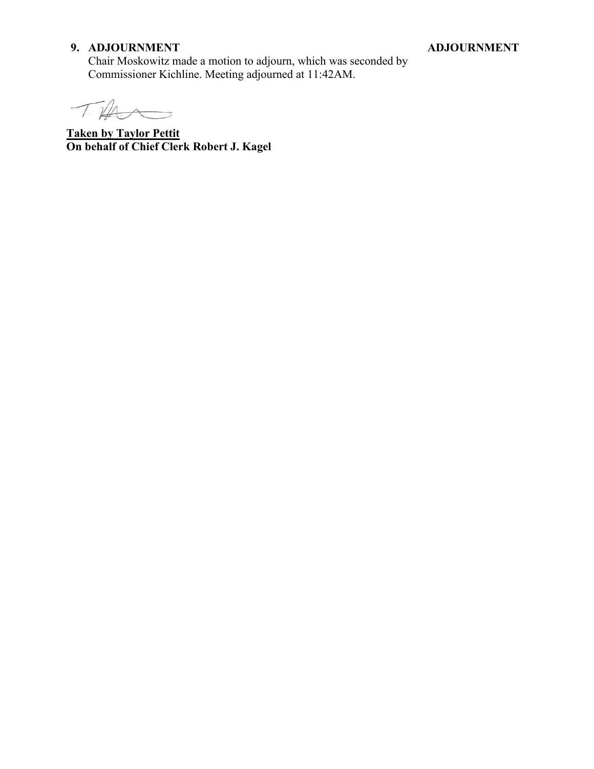## **9. ADJOURNMENT**

#### **ADJOURNMENT**

Chair Moskowitz made a motion to adjourn, which was seconded by Commissioner Kichline. Meeting adjourned at 11:42AM.

 $T\cancel{1}$  $\rightarrow$ 

**Taken by Taylor Pettit On behalf of Chief Clerk Robert J. Kagel**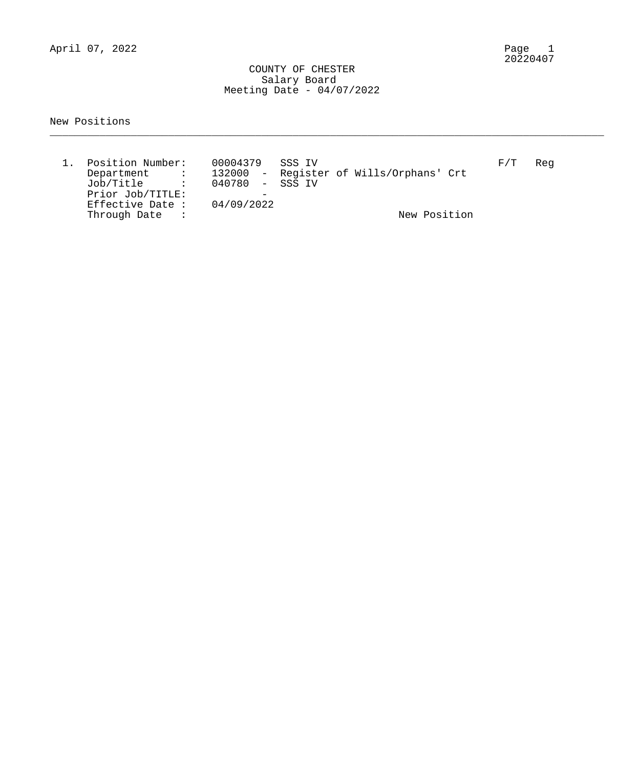April 07, 2022

#### COUNTY OF CHESTER Salary Board Meeting Date - 04/07/2022

#### New Positions

| Position Number:<br>Department :<br>Job/Title :<br>Prior Job/TITLE:<br>Effective Date : | 00004379 SSS IV<br>040780 - SSS TV<br>04/09/2022 | 132000 - Register of Wills/Orphans' Crt | F/T | Req |
|-----------------------------------------------------------------------------------------|--------------------------------------------------|-----------------------------------------|-----|-----|
| Through Date<br>$\sim$ $\sim$ $\sim$ $\sim$                                             |                                                  | New Position                            |     |     |

\_\_\_\_\_\_\_\_\_\_\_\_\_\_\_\_\_\_\_\_\_\_\_\_\_\_\_\_\_\_\_\_\_\_\_\_\_\_\_\_\_\_\_\_\_\_\_\_\_\_\_\_\_\_\_\_\_\_\_\_\_\_\_\_\_\_\_\_\_\_\_\_\_\_\_\_\_\_\_\_\_\_\_\_\_\_\_\_\_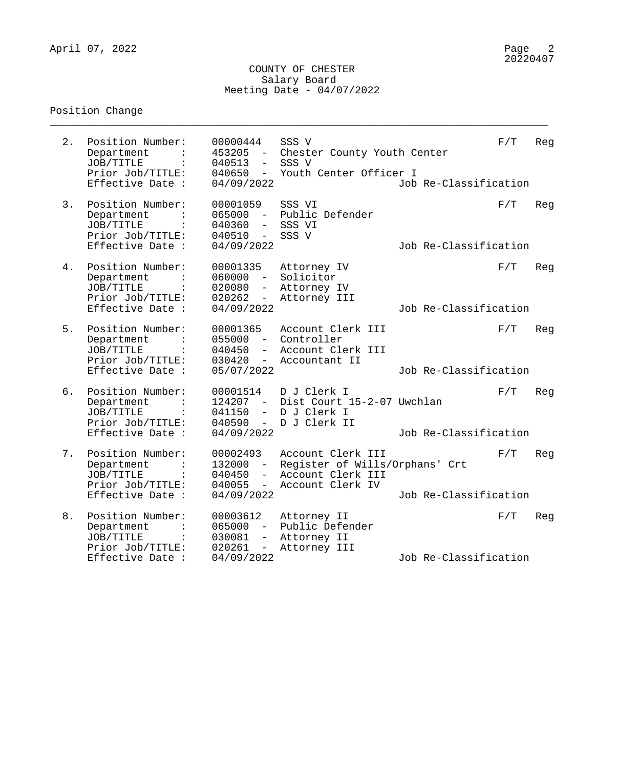#### COUNTY OF CHESTER Salary Board Meeting Date - 04/07/2022

\_\_\_\_\_\_\_\_\_\_\_\_\_\_\_\_\_\_\_\_\_\_\_\_\_\_\_\_\_\_\_\_\_\_\_\_\_\_\_\_\_\_\_\_\_\_\_\_\_\_\_\_\_\_\_\_\_\_\_\_\_\_\_\_\_\_\_\_\_\_\_\_\_\_\_\_\_\_\_\_

## Position Change

| 2. | Position Number:<br>Department<br>JOB/TITLE<br>Prior Job/TITLE:<br>Effective Date :                   | 00000444<br>453205<br>$\sim$ $ \sim$<br>040513<br>$\overline{\phantom{0}}$<br>040650<br>$\sim$<br>04/09/2022 | SSS V<br>Chester County Youth Center<br>SSS V<br>Youth Center Officer I                      | Job Re-Classification | F/T | Reg |
|----|-------------------------------------------------------------------------------------------------------|--------------------------------------------------------------------------------------------------------------|----------------------------------------------------------------------------------------------|-----------------------|-----|-----|
| 3. | Position Number:<br>Department<br>JOB/TITLE<br>Prior Job/TITLE:<br>Effective Date :                   | 00001059<br>065000<br>040360<br>$-$<br>040510<br>$  \,$<br>04/09/2022                                        | SSS VI<br>- Public Defender<br>SSS VI<br>SSS V                                               | Job Re-Classification | F/T | Reg |
| 4. | Position Number:<br>Department<br>JOB/TITLE<br>$\ddot{\cdot}$<br>Prior Job/TITLE:<br>Effective Date : | 00001335<br>$060000 -$<br>020080<br>020262<br>$-$<br>04/09/2022                                              | Attorney IV<br>Solicitor<br>Attorney IV<br>Attorney III                                      | Job Re-Classification | F/T | Reg |
| 5. | Position Number:<br>Department<br>JOB/TITLE<br>Prior Job/TITLE:<br>Effective Date :                   | 00001365<br>$055000 -$<br>040450<br>030420<br>05/07/2022                                                     | Account Clerk III<br>Controller<br>- Account Clerk III<br>- Accountant II                    | Job Re-Classification | F/T | Reg |
| б. | Position Number:<br>Department<br>JOB/TITLE<br>$\ddot{\cdot}$<br>Prior Job/TITLE:<br>Effective Date : | 00001514<br>124207 -<br>041150<br>$ \,$<br>040590<br>$\frac{1}{2}$<br>04/09/2022                             | D J Clerk I<br>Dist Court 15-2-07 Uwchlan<br>D J Clerk I<br>D J Clerk II                     | Job Re-Classification | F/T | Reg |
| 7. | Position Number:<br>Department<br>JOB/TITLE<br>Prior Job/TITLE:<br>Effective Date :                   | 00002493<br>132000<br>$\sim$<br>040450<br>$\overline{\phantom{0}}$<br>040055<br>$  \,$<br>04/09/2022         | Account Clerk III<br>Register of Wills/Orphans' Crt<br>Account Clerk III<br>Account Clerk IV | Job Re-Classification | F/T | Reg |
| 8. | Position Number:<br>Department<br>JOB/TITLE<br>$\ddot{\cdot}$<br>Prior Job/TITLE:<br>Effective Date : | 00003612<br>065000<br>$ \,$<br>030081<br>$-$<br>020261<br>$ \,$<br>04/09/2022                                | Attorney II<br>Public Defender<br>Attorney II<br>Attorney III                                | Job Re-Classification | F/T | Reg |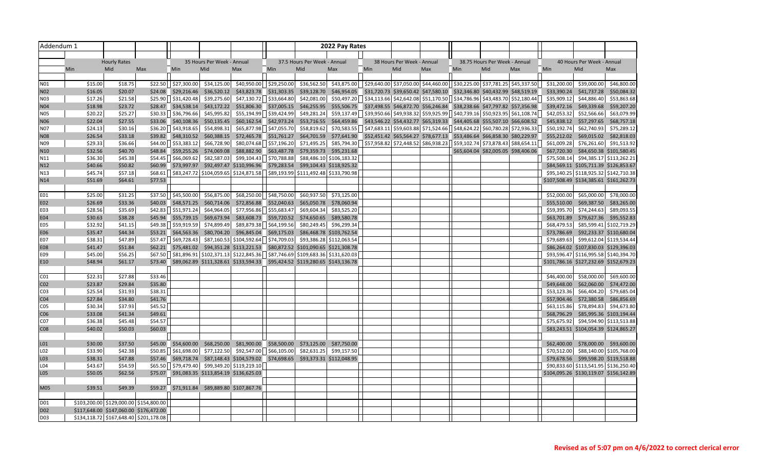| Addendum 1        |            |                     |                                        |             |                            |                                                                                                                                     |                           |                              | 2022 Pay Rates           |                                                                                                                                                                                      |                            |                                                                                                 |     |                                     |     |             |                                        |                          |
|-------------------|------------|---------------------|----------------------------------------|-------------|----------------------------|-------------------------------------------------------------------------------------------------------------------------------------|---------------------------|------------------------------|--------------------------|--------------------------------------------------------------------------------------------------------------------------------------------------------------------------------------|----------------------------|-------------------------------------------------------------------------------------------------|-----|-------------------------------------|-----|-------------|----------------------------------------|--------------------------|
|                   |            |                     |                                        |             |                            |                                                                                                                                     |                           |                              |                          |                                                                                                                                                                                      |                            |                                                                                                 |     |                                     |     |             |                                        |                          |
|                   |            | <b>Hourly Rates</b> |                                        |             | 35 Hours Per Week - Annual |                                                                                                                                     |                           | 37.5 Hours Per Week - Annual |                          |                                                                                                                                                                                      | 38 Hours Per Week - Annual |                                                                                                 |     | 38.75 Hours Per Week - Annual       |     |             | 40 Hours Per Week - Annual             |                          |
|                   | <b>Min</b> | Mid                 | Max                                    | Min         | Mid                        | Max                                                                                                                                 | Min                       | Mid                          | Max                      | Min                                                                                                                                                                                  | Mid                        | Max                                                                                             | Min | Mid                                 | Max | <b>Min</b>  | Mid                                    | Max                      |
|                   |            |                     |                                        |             |                            |                                                                                                                                     |                           |                              |                          |                                                                                                                                                                                      |                            |                                                                                                 |     |                                     |     |             |                                        |                          |
| N01               | \$15.00    | \$18.75             | \$22.50                                | \$27,300.00 | \$34,125.00                |                                                                                                                                     | \$40,950.00 \$29,250.00   | \$36,562.50                  |                          | $\frac{1}{2}$ \$43,875.00 $\left  \frac{1}{2}$ \$29,640.00 $\right $ \$37,050.00 $\left  \frac{244}{460.00} \right $ \$30,225.00 $\left  \frac{225}{937.781.25} \right $ \$45,337.50 |                            |                                                                                                 |     |                                     |     | \$31,200.00 | \$39,000.00                            | \$46,800.00              |
| <b>N02</b>        | \$16.05    | \$20.07             | \$24.08                                | \$29,216.46 | \$36,520.12                |                                                                                                                                     | \$43,823.78 \$31,303.35   | \$39,128.70                  |                          | \$46,954.05 \$31,720.73 \$39,650.42 \$47,580.10 \$32,346.80 \$40,432.99 \$48,519.19                                                                                                  |                            |                                                                                                 |     |                                     |     | \$33,390.24 | \$41,737.28                            | \$50,084.32              |
| N03               | \$17.26    | \$21.58             | \$25.90                                | \$31,420.48 | \$39,275.60                |                                                                                                                                     | $$47,130.72$ $$33,664.80$ | \$42,081.00                  |                          | \$50,497.20 \$34,113.66 \$42,642.08 \$51,170.50 \$34,786.96 \$43,483.70 \$52,180.44                                                                                                  |                            |                                                                                                 |     |                                     |     | \$35,909.12 | \$44,886.40                            | \$53,863.68              |
| N04               | \$18.98    | \$23.72             | \$28.47                                | \$34,538.14 | \$43,172.22                |                                                                                                                                     | \$51,806.30 \$37,005.15   | \$46,255.95                  |                          | \$55,506.75 \$37,498.55 \$46,872.70 \$56,246.84 \$38,238.66 \$47,797.82 \$57,356.98                                                                                                  |                            |                                                                                                 |     |                                     |     | \$39,472.16 |                                        | \$49,339.68 \$59,207.20  |
| <b>NO5</b>        | \$20.22    | \$25.27             | \$30.33                                | \$36,796.66 | \$45,995.82                |                                                                                                                                     | $$55,194.99$ $$39,424.99$ | \$49,281.24                  | \$59,137.49              |                                                                                                                                                                                      |                            | $ $ \$39,950.66 \$49,938.32 \$59,925.99 $ $ \$40,739.16 \$50,923.95 \$61,108.74                 |     |                                     |     |             | \$42,053.32 \$52,566.66                | \$63,079.99              |
| N06               | \$22.04    | \$27.55             | \$33.06                                | \$40,108.36 | \$50,135.45                |                                                                                                                                     | \$60,162.54 \$42,973.24   | \$53,716.55                  | \$64,459.86              |                                                                                                                                                                                      |                            | \$43,546.22 \$54,432.77 \$65,319.33 \$44,405.68 \$55,507.10 \$66,608.52                         |     |                                     |     |             | \$45,838.12 \$57,297.65 \$68,757.18    |                          |
| N07               | \$24.13    | \$30.16             | \$36.20                                | \$43,918.65 | \$54,898.31                |                                                                                                                                     | \$65,877.98   \$47,055.70 | \$58,819.62                  |                          | $\frac{1}{20}$ ,583.55   $\frac{1}{247}$ ,683.11   \$59,603.88   \$71,524.66     \$48,624.22   \$60,780.28   \$72,936.33                                                             |                            |                                                                                                 |     |                                     |     | \$50,192.74 | \$62,740.93                            | \$75,289.12              |
| N08               | \$26.54    | \$33.18             | \$39.82                                | \$48,310.52 | \$60,388.15                |                                                                                                                                     | \$72,465.78 \$51,761.27   |                              |                          | \$64,701.59 \$77,641.90 \$52,451.42 \$65,564.27 \$78,677.13 \$53,486.64 \$66,858.30 \$80,229.97                                                                                      |                            |                                                                                                 |     |                                     |     |             | \$55,212.02 \$69,015.02 \$82,818.03    |                          |
| N09               | \$29.33    | \$36.66             | \$44.00                                | \$53,383.12 | \$66,728.90                | \$80,074.68                                                                                                                         | \$57,196.20               | \$71,495.25                  | \$85,794.30              |                                                                                                                                                                                      |                            | $ $ \$57,958.82 $ $ \$72,448.52 $ $ \$86,938.23 $ $ \$59,102.74 $ $ \$73,878.43 $ $ \$88,654.11 |     |                                     |     | \$61,009.28 | \$76,261.60                            | \$91,513.92              |
| N10               | \$32.56    | \$40.70             | \$48.84                                | \$59,255.26 | \$74,069.08                |                                                                                                                                     | \$88,882.90 \$63,487.78   |                              | \$79,359.73 \$95,231.68  |                                                                                                                                                                                      |                            |                                                                                                 |     | \$65,604.04 \$82,005.05 \$98,406.06 |     | \$67,720.30 |                                        | \$84,650.38 \$101,580.45 |
| N11               | \$36.30    | \$45.38             | \$54.45                                | \$66,069.62 | \$82,587.03                |                                                                                                                                     | \$99,104.43 \$70,788.88   |                              | \$88,486.10 \$106,183.32 |                                                                                                                                                                                      |                            |                                                                                                 |     |                                     |     |             | \$75,508.14 \$94,385.17 \$113,262.21   |                          |
| N12               | \$40.66    | \$50.82             | \$60.99                                | \$73,997.97 |                            | \$92,497.47 \$110,996.96 \$79,283.54                                                                                                |                           |                              | \$99,104.43 \$118,925.32 |                                                                                                                                                                                      |                            |                                                                                                 |     |                                     |     |             | \$84,569.11 \$105,711.39 \$126,853.67  |                          |
| N13               | \$45.74    | \$57.18<br>\$64.61  | \$68.61<br>\$77.53                     |             |                            | $ $ \$83,247.72 \$104,059.65 \$124,871.58 \$89,193.99 \$111,492.48 \$133,790.98                                                     |                           |                              |                          |                                                                                                                                                                                      |                            |                                                                                                 |     |                                     |     |             | \$95,140.25 \$118,925.32 \$142,710.38  |                          |
| N14               | \$51.69    |                     |                                        |             |                            |                                                                                                                                     |                           |                              |                          |                                                                                                                                                                                      |                            |                                                                                                 |     |                                     |     |             | \$107,508.49 \$134,385.61 \$161,262.73 |                          |
| E01               | \$25.00    | \$31.25             | \$37.50                                | \$45,500.00 | \$56,875.00                | \$68,250.00                                                                                                                         | \$48,750.00               | \$60,937.50                  | \$73,125.00              |                                                                                                                                                                                      |                            |                                                                                                 |     |                                     |     | \$52,000.00 | \$65,000.00                            | \$78,000.00              |
| E02               | \$26.69    | \$33.36             | \$40.03                                | \$48,571.25 | \$60,714.06                | \$72,856.88                                                                                                                         | \$52,040.63               | \$65,050.78                  | \$78,060.94              |                                                                                                                                                                                      |                            |                                                                                                 |     |                                     |     | \$55,510.00 |                                        | \$69,387.50 \$83,265.00  |
| E03               | \$28.56    | \$35.69             | \$42.83                                | \$51,971.24 | \$64,964.05                | \$77,956.86                                                                                                                         | \$55,683.47               | \$69,604.34                  | \$83,525.20              |                                                                                                                                                                                      |                            |                                                                                                 |     |                                     |     | \$59,395.70 | \$74,244.63                            | \$89,093.55              |
| E04               | \$30.63    | \$38.28             | \$45.94                                | \$55,739.15 | \$69,673.94                | \$83,608.73                                                                                                                         | \$59,720.52               | \$74,650.65                  | \$89,580.78              |                                                                                                                                                                                      |                            |                                                                                                 |     |                                     |     | \$63,701.89 |                                        | \$79,627.36 \$95,552.83  |
| E05               | \$32.92    | \$41.15             | \$49.38                                | \$59,919.59 | \$74,899.49                | \$89,879.38                                                                                                                         | \$64,199.56               | \$80,249.45                  | \$96,299.34              |                                                                                                                                                                                      |                            |                                                                                                 |     |                                     |     | \$68,479.53 |                                        | \$85,599.41 \$102,719.29 |
| E06               | \$35.47    | \$44.34             | \$53.21                                | \$64,563.36 | \$80,704.20                |                                                                                                                                     | \$96,845.04 \$69,175.03   |                              | \$86,468.78 \$103,762.54 |                                                                                                                                                                                      |                            |                                                                                                 |     |                                     |     | \$73,786.69 |                                        | \$92,233.37 \$110,680.04 |
| E07               | \$38.31    | \$47.89             | \$57.47                                | \$69,728.43 |                            | \$87,160.53 \$104,592.64 \$74,709.03                                                                                                |                           |                              | \$93,386.28 \$112,063.54 |                                                                                                                                                                                      |                            |                                                                                                 |     |                                     |     |             | \$79,689.63 \$99,612.04 \$119,534.44   |                          |
| <b>E08</b>        | \$41.47    | \$51.84             | \$62.21                                | \$75,481.02 |                            | \$94,351.28 \$113,221.53 \$80,872.52 \$101,090.65 \$121,308.78                                                                      |                           |                              |                          |                                                                                                                                                                                      |                            |                                                                                                 |     |                                     |     |             | \$86,264.02 \$107,830.03 \$129,396.03  |                          |
| E09               | \$45.00    | \$56.25             |                                        |             |                            | $\frac{1}{2}$ \$81,896.91 $\frac{1}{2}$ \$102,371.13 $\frac{1}{2}$ \$122,845.36 $\frac{1}{2}$ \$87,746.69 \$109,683.36 \$131,620.03 |                           |                              |                          |                                                                                                                                                                                      |                            |                                                                                                 |     |                                     |     |             | \$93,596.47 \$116,995.58 \$140,394.70  |                          |
| E10               | \$48.94    | \$61.17             |                                        |             |                            | \$73.40 \$89,062.89 \$111,328.61 \$133,594.33 \$95,424.52 \$119,280.65 \$143,136.78                                                 |                           |                              |                          |                                                                                                                                                                                      |                            |                                                                                                 |     |                                     |     |             | \$101,786.16 \$127,232.69 \$152,679.23 |                          |
|                   |            |                     |                                        |             |                            |                                                                                                                                     |                           |                              |                          |                                                                                                                                                                                      |                            |                                                                                                 |     |                                     |     |             |                                        |                          |
| CO <sub>1</sub>   | \$22.31    | \$27.88             | \$33.46                                |             |                            |                                                                                                                                     |                           |                              |                          |                                                                                                                                                                                      |                            |                                                                                                 |     |                                     |     | \$46,400.00 | \$58,000.00                            | \$69,600.00              |
| CO <sub>2</sub>   | \$23.87    | \$29.84             | \$35.80                                |             |                            |                                                                                                                                     |                           |                              |                          |                                                                                                                                                                                      |                            |                                                                                                 |     |                                     |     | \$49,648.00 |                                        | \$62,060.00 \$74,472.00  |
| CO3               | \$25.54    | \$31.93             | \$38.31                                |             |                            |                                                                                                                                     |                           |                              |                          |                                                                                                                                                                                      |                            |                                                                                                 |     |                                     |     | \$53,123.36 |                                        | \$66,404.20 \$79,685.04  |
| CO <sub>4</sub>   | \$27.84    | \$34.80             | \$41.76                                |             |                            |                                                                                                                                     |                           |                              |                          |                                                                                                                                                                                      |                            |                                                                                                 |     |                                     |     |             | \$57,904.46 \$72,380.58                | \$86,856.69              |
| CO <sub>5</sub>   | \$30.34    | \$37.93             | \$45.52                                |             |                            |                                                                                                                                     |                           |                              |                          |                                                                                                                                                                                      |                            |                                                                                                 |     |                                     |     | \$63,115.86 | \$78,894.83                            | \$94,673.80              |
| C <sub>06</sub>   | \$33.08    | \$41.34             | \$49.61                                |             |                            |                                                                                                                                     |                           |                              |                          |                                                                                                                                                                                      |                            |                                                                                                 |     |                                     |     | \$68,796.29 |                                        | \$85,995.36 \$103,194.44 |
| C07               | \$36.38    | \$45.48             | \$54.57                                |             |                            |                                                                                                                                     |                           |                              |                          |                                                                                                                                                                                      |                            |                                                                                                 |     |                                     |     |             | \$75,675.92 \$94,594.90 \$113,513.88   |                          |
| CO8               | \$40.02    | \$50.03             | \$60.03                                |             |                            |                                                                                                                                     |                           |                              |                          |                                                                                                                                                                                      |                            |                                                                                                 |     |                                     |     |             | \$83,243.51 \$104,054.39 \$124,865.27  |                          |
|                   |            |                     |                                        |             |                            |                                                                                                                                     |                           |                              |                          |                                                                                                                                                                                      |                            |                                                                                                 |     |                                     |     |             |                                        |                          |
| L <sub>01</sub>   | \$30.00    | \$37.50             | \$45.00                                | \$54,600.00 | \$68,250.00                |                                                                                                                                     | \$81,900.00 \$58,500.00   | \$73,125.00                  | \$87,750.00              |                                                                                                                                                                                      |                            |                                                                                                 |     |                                     |     | \$62,400.00 |                                        | \$78,000.00 \$93,600.00  |
| LO <sub>2</sub>   | \$33.90    | \$42.38             | \$50.85                                | \$61,698.00 | \$77,122.50                |                                                                                                                                     | \$92,547.00   \$66,105.00 | \$82,631.25                  | \$99,157.50              |                                                                                                                                                                                      |                            |                                                                                                 |     |                                     |     | \$70,512.00 |                                        | \$88,140.00 \$105,768.00 |
| LO3               | \$38.31    | \$47.88             | \$57.46                                | \$69,718.74 |                            | \$87,148.43 \$104,579.02 \$74,698.65                                                                                                |                           |                              | \$93,373.31 \$112,048.95 |                                                                                                                                                                                      |                            |                                                                                                 |     |                                     |     |             | \$79,678.56 \$99,598.20 \$119,518.88   |                          |
| L <sub>04</sub>   | \$43.67    | \$54.59             | \$65.50                                | \$79,479.40 |                            | \$99,349.20 \$119,219.10                                                                                                            |                           |                              |                          |                                                                                                                                                                                      |                            |                                                                                                 |     |                                     |     |             | \$90,833.60 \$113,541.95 \$136,250.40  |                          |
| L05               | \$50.05    | \$62.56             | \$75.07                                |             |                            | \$91,083.35 \$113,854.19 \$136,625.03                                                                                               |                           |                              |                          |                                                                                                                                                                                      |                            |                                                                                                 |     |                                     |     |             | \$104,095.26 \$130,119.07 \$156,142.89 |                          |
|                   |            |                     |                                        |             |                            |                                                                                                                                     |                           |                              |                          |                                                                                                                                                                                      |                            |                                                                                                 |     |                                     |     |             |                                        |                          |
| M05               | \$39.51    | \$49.39             | \$59.27                                |             |                            | \$71,911.84 \$89,889.80 \$107,867.76                                                                                                |                           |                              |                          |                                                                                                                                                                                      |                            |                                                                                                 |     |                                     |     |             |                                        |                          |
|                   |            |                     | \$103,200.00 \$129,000.00 \$154,800.00 |             |                            |                                                                                                                                     |                           |                              |                          |                                                                                                                                                                                      |                            |                                                                                                 |     |                                     |     |             |                                        |                          |
| D01<br><b>D02</b> |            |                     | \$117,648.00 \$147,060.00 \$176,472.00 |             |                            |                                                                                                                                     |                           |                              |                          |                                                                                                                                                                                      |                            |                                                                                                 |     |                                     |     |             |                                        |                          |
| D03               |            |                     | \$134,118.72 \$167,648.40 \$201,178.08 |             |                            |                                                                                                                                     |                           |                              |                          |                                                                                                                                                                                      |                            |                                                                                                 |     |                                     |     |             |                                        |                          |
|                   |            |                     |                                        |             |                            |                                                                                                                                     |                           |                              |                          |                                                                                                                                                                                      |                            |                                                                                                 |     |                                     |     |             |                                        |                          |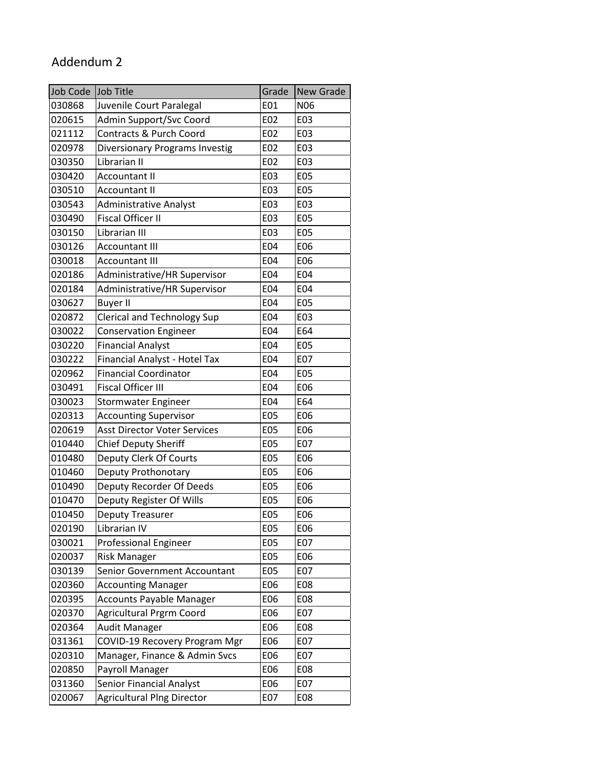## Addendum 2

| Job Code | Job Title                           | Grade      | <b>New Grade</b> |
|----------|-------------------------------------|------------|------------------|
| 030868   | Juvenile Court Paralegal            | E01        | N06              |
| 020615   | Admin Support/Svc Coord             | E02        | E03              |
| 021112   | Contracts & Purch Coord             | E02        | E03              |
| 020978   | Diversionary Programs Investig      | E02        | E03              |
| 030350   | Librarian II                        | E02        | E03              |
| 030420   | <b>Accountant II</b>                | E03        | E05              |
| 030510   | <b>Accountant II</b>                | E03        | E05              |
| 030543   | <b>Administrative Analyst</b>       | E03        | E03              |
| 030490   | <b>Fiscal Officer II</b>            | E03        | E05              |
| 030150   | Librarian III                       | E03        | E05              |
| 030126   | <b>Accountant III</b>               | E04        | E06              |
| 030018   | <b>Accountant III</b>               | E04        | E06              |
| 020186   | Administrative/HR Supervisor        | E04        | E04              |
| 020184   | Administrative/HR Supervisor        | E04        | E04              |
| 030627   | <b>Buyer II</b>                     | E04        | <b>E05</b>       |
| 020872   | <b>Clerical and Technology Sup</b>  | E04        | E03              |
| 030022   | <b>Conservation Engineer</b>        | E04        | E64              |
| 030220   | <b>Financial Analyst</b>            | E04        | E05              |
| 030222   | Financial Analyst - Hotel Tax       | E04        | E07              |
| 020962   | <b>Financial Coordinator</b>        | E04        | <b>E05</b>       |
| 030491   | <b>Fiscal Officer III</b>           | E04        | E06              |
| 030023   | <b>Stormwater Engineer</b>          | E04        | E64              |
| 020313   | <b>Accounting Supervisor</b>        | <b>E05</b> | E06              |
| 020619   | <b>Asst Director Voter Services</b> | E05        | E06              |
| 010440   | <b>Chief Deputy Sheriff</b>         | <b>E05</b> | E07              |
| 010480   | Deputy Clerk Of Courts              | <b>E05</b> | E06              |
| 010460   | Deputy Prothonotary                 | <b>E05</b> | E06              |
| 010490   | Deputy Recorder Of Deeds            | <b>E05</b> | E06              |
| 010470   | Deputy Register Of Wills            | E05        | E06              |
| 010450   | Deputy Treasurer                    | E05        | E06              |
| 020190   | Librarian IV                        | E05        | E06              |
| 030021   | <b>Professional Engineer</b>        | E05        | E07              |
| 020037   | <b>Risk Manager</b>                 | E05        | E06              |
| 030139   | Senior Government Accountant        | <b>E05</b> | E07              |
| 020360   | <b>Accounting Manager</b>           | E06        | E08              |
| 020395   | <b>Accounts Payable Manager</b>     | E06        | E08              |
| 020370   | Agricultural Prgrm Coord            | E06        | E07              |
| 020364   | <b>Audit Manager</b>                | E06        | E08              |
| 031361   | COVID-19 Recovery Program Mgr       | E06        | E07              |
| 020310   | Manager, Finance & Admin Svcs       | E06        | E07              |
| 020850   | Payroll Manager                     | E06        | E08              |
| 031360   | <b>Senior Financial Analyst</b>     | E06        | E07              |
| 020067   | <b>Agricultural PIng Director</b>   | E07        | E08              |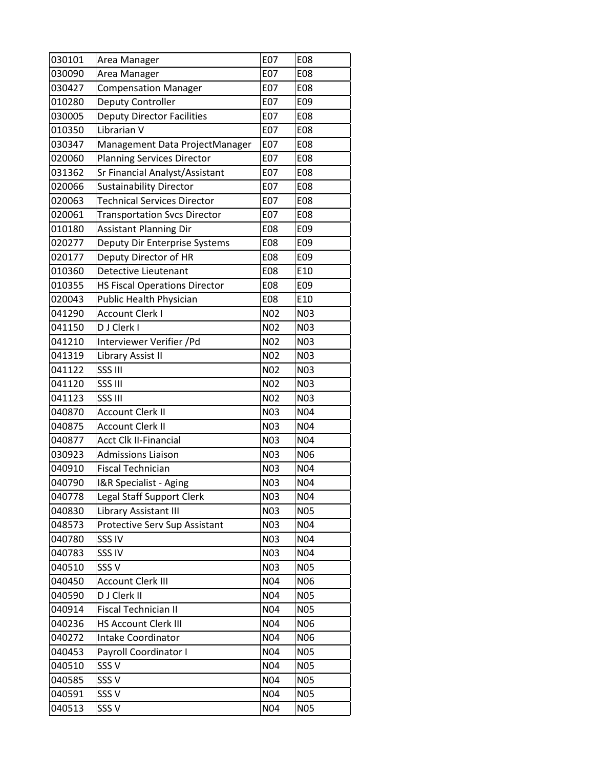| 030101 | Area Manager                         | E07              | E08        |
|--------|--------------------------------------|------------------|------------|
| 030090 | Area Manager                         | E07              | E08        |
| 030427 | <b>Compensation Manager</b>          | E07              | E08        |
| 010280 | Deputy Controller                    | E07              | E09        |
| 030005 | <b>Deputy Director Facilities</b>    | E07              | E08        |
| 010350 | Librarian V                          | E07              | E08        |
| 030347 | Management Data ProjectManager       | E07              | E08        |
| 020060 | <b>Planning Services Director</b>    | E07              | E08        |
| 031362 | Sr Financial Analyst/Assistant       | E07              | E08        |
| 020066 | <b>Sustainability Director</b>       | E07              | E08        |
| 020063 | <b>Technical Services Director</b>   | E07              | E08        |
| 020061 | <b>Transportation Svcs Director</b>  | E07              | E08        |
| 010180 | <b>Assistant Planning Dir</b>        | E08              | E09        |
| 020277 | Deputy Dir Enterprise Systems        | E08              | E09        |
| 020177 | Deputy Director of HR                | E08              | E09        |
| 010360 | <b>Detective Lieutenant</b>          | E08              | E10        |
| 010355 | <b>HS Fiscal Operations Director</b> | E08              | E09        |
| 020043 | Public Health Physician              | E08              | E10        |
| 041290 | <b>Account Clerk I</b>               | N <sub>0</sub> 2 | N03        |
| 041150 | D J Clerk I                          | <b>N02</b>       | N03        |
| 041210 | Interviewer Verifier /Pd             | N <sub>02</sub>  | N03        |
| 041319 | Library Assist II                    | N <sub>02</sub>  | N03        |
| 041122 | SSS III                              | N <sub>0</sub> 2 | N03        |
| 041120 | SSS III                              | N <sub>0</sub> 2 | N03        |
| 041123 | <b>SSS III</b>                       | N02              | N03        |
| 040870 | <b>Account Clerk II</b>              | N03              | N04        |
| 040875 | <b>Account Clerk II</b>              | N03              | N04        |
| 040877 | <b>Acct Clk II-Financial</b>         | N03              | N04        |
| 030923 | <b>Admissions Liaison</b>            | N03              | N06        |
| 040910 | <b>Fiscal Technician</b>             | N03              | N04        |
| 040790 | I&R Specialist - Aging               | N03              | N04        |
| 040778 | Legal Staff Support Clerk            | N03              | N04        |
| 040830 | Library Assistant III                | <b>N03</b>       | <b>N05</b> |
| 048573 | Protective Serv Sup Assistant        | <b>N03</b>       | N04        |
| 040780 | SSS IV                               | N03              | N04        |
| 040783 | SSS IV                               | N03              | N04        |
| 040510 | SSS <sub>V</sub>                     | N03              | N05        |
| 040450 | <b>Account Clerk III</b>             | N04              | N06        |
| 040590 | D J Clerk II                         | N04              | <b>N05</b> |
| 040914 | Fiscal Technician II                 | N04              | <b>N05</b> |
| 040236 | <b>HS Account Clerk III</b>          | N04              | N06        |
| 040272 | Intake Coordinator                   | N04              | N06        |
| 040453 | Payroll Coordinator I                | N04              | <b>N05</b> |
| 040510 | SSS <sub>V</sub>                     | N04              | <b>N05</b> |
| 040585 | SSS <sub>V</sub>                     | N04              | <b>N05</b> |
| 040591 | SSS <sub>V</sub>                     | N04              | <b>N05</b> |
| 040513 | SSS <sub>V</sub>                     | N04              | <b>N05</b> |